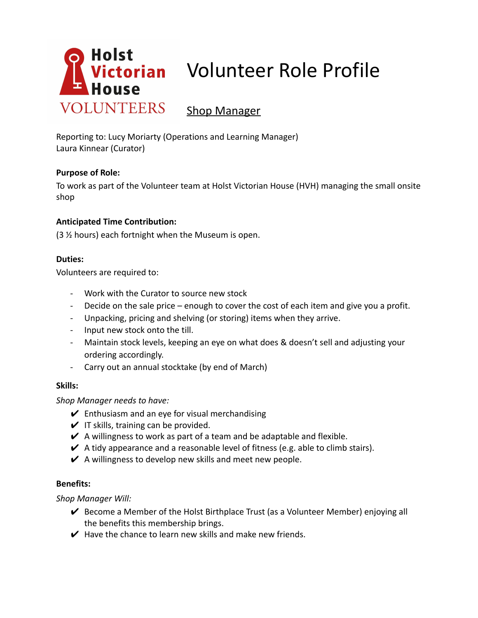

# **Victorian** Volunteer Role Profile

# Shop Manager

Reporting to: Lucy Moriarty (Operations and Learning Manager) Laura Kinnear (Curator)

## **Purpose of Role:**

To work as part of the Volunteer team at Holst Victorian House (HVH) managing the small onsite shop

# **Anticipated Time Contribution:**

(3 ½ hours) each fortnight when the Museum is open.

#### **Duties:**

Volunteers are required to:

- Work with the Curator to source new stock
- Decide on the sale price enough to cover the cost of each item and give you a profit.
- Unpacking, pricing and shelving (or storing) items when they arrive.
- Input new stock onto the till.
- Maintain stock levels, keeping an eye on what does & doesn't sell and adjusting your ordering accordingly.
- Carry out an annual stocktake (by end of March)

#### **Skills:**

*Shop Manager needs to have:*

- $\mathcal V$  Enthusiasm and an eye for visual merchandising
- $\vee$  IT skills, training can be provided.
- $\vee$  A willingness to work as part of a team and be adaptable and flexible.
- $\vee$  A tidy appearance and a reasonable level of fitness (e.g. able to climb stairs).
- $\vee$  A willingness to develop new skills and meet new people.

#### **Benefits:**

*Shop Manager Will:*

- $\vee$  Become a Member of the Holst Birthplace Trust (as a Volunteer Member) enjoying all the benefits this membership brings.
- $\vee$  Have the chance to learn new skills and make new friends.